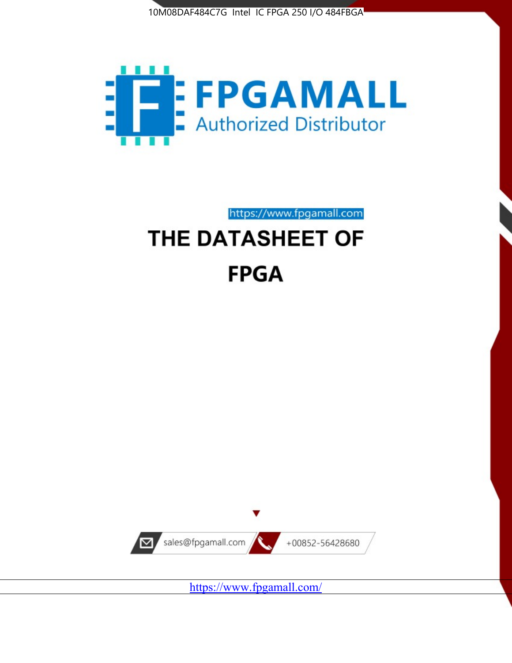



https://www.fpgamall.com THE DATASHEET OF

# **FPGA**



<https://www.fpgamall.com/>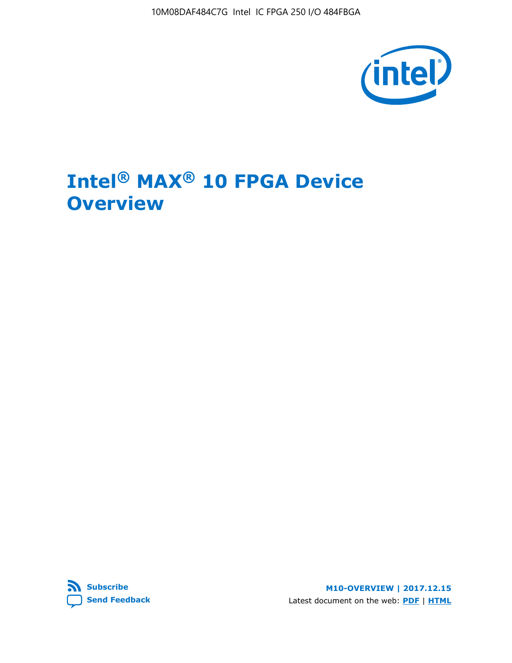10M08DAF484C7G Intel IC FPGA 250 I/O 484FBGA



# **Intel® MAX® 10 FPGA Device Overview**



**M10-OVERVIEW | 2017.12.15** Latest document on the web: **[PDF](https://www.altera.com/en_US/pdfs/literature/hb/max-10/m10_overview.pdf)** | **[HTML](https://www.altera.com/documentation/myt1396938463674.html)**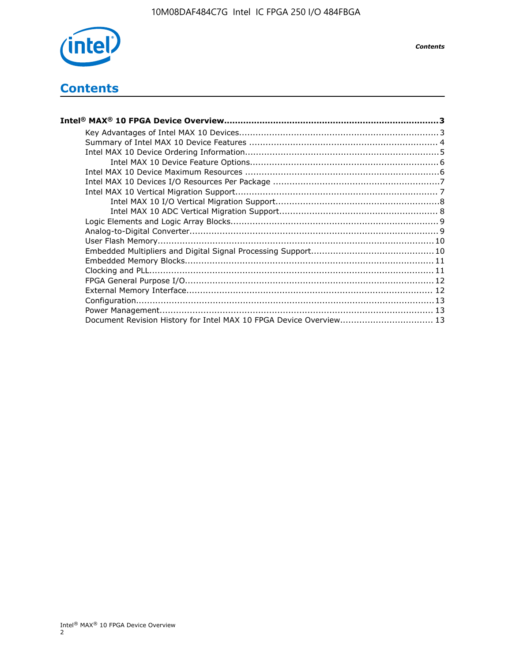

# **Contents**

| Intel® MAX® 10 FPGA Device Overview……………………………………………………………………………3  |  |
|--------------------------------------------------------------------|--|
|                                                                    |  |
|                                                                    |  |
|                                                                    |  |
|                                                                    |  |
|                                                                    |  |
|                                                                    |  |
|                                                                    |  |
|                                                                    |  |
|                                                                    |  |
|                                                                    |  |
|                                                                    |  |
|                                                                    |  |
|                                                                    |  |
|                                                                    |  |
|                                                                    |  |
|                                                                    |  |
|                                                                    |  |
|                                                                    |  |
|                                                                    |  |
| Document Revision History for Intel MAX 10 FPGA Device Overview 13 |  |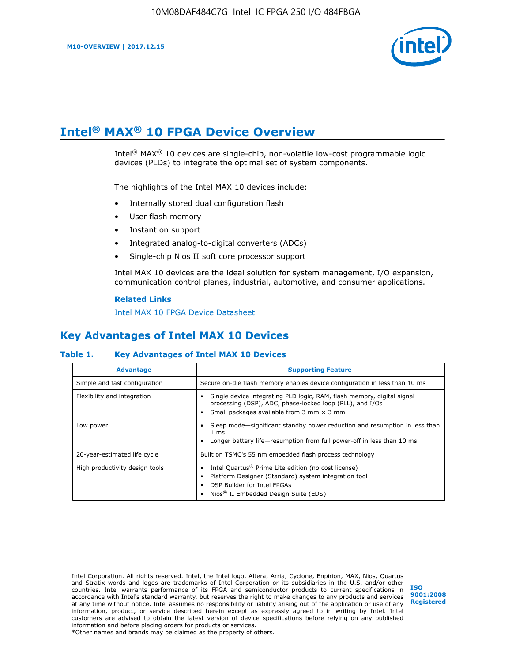

# **Intel® MAX® 10 FPGA Device Overview**

Intel® MAX® 10 devices are single-chip, non-volatile low-cost programmable logic devices (PLDs) to integrate the optimal set of system components.

The highlights of the Intel MAX 10 devices include:

- Internally stored dual configuration flash
- User flash memory
- Instant on support
- Integrated analog-to-digital converters (ADCs)
- Single-chip Nios II soft core processor support

Intel MAX 10 devices are the ideal solution for system management, I/O expansion, communication control planes, industrial, automotive, and consumer applications.

#### **Related Links**

[Intel MAX 10 FPGA Device Datasheet](https://www.altera.com/documentation/mcn1397700832153.html#mcn1397643748870)

# **Key Advantages of Intel MAX 10 Devices**

## **Table 1. Key Advantages of Intel MAX 10 Devices**

| <b>Advantage</b>               | <b>Supporting Feature</b>                                                                                                                                                                                  |  |  |  |
|--------------------------------|------------------------------------------------------------------------------------------------------------------------------------------------------------------------------------------------------------|--|--|--|
| Simple and fast configuration  | Secure on-die flash memory enables device configuration in less than 10 ms                                                                                                                                 |  |  |  |
| Flexibility and integration    | Single device integrating PLD logic, RAM, flash memory, digital signal<br>processing (DSP), ADC, phase-locked loop (PLL), and I/Os<br>Small packages available from 3 mm $\times$ 3 mm                     |  |  |  |
| Low power                      | Sleep mode—significant standby power reduction and resumption in less than<br>$1 \text{ ms}$<br>Longer battery life—resumption from full power-off in less than 10 ms                                      |  |  |  |
| 20-year-estimated life cycle   | Built on TSMC's 55 nm embedded flash process technology                                                                                                                                                    |  |  |  |
| High productivity design tools | Intel Quartus <sup>®</sup> Prime Lite edition (no cost license)<br>Platform Designer (Standard) system integration tool<br>DSP Builder for Intel FPGAs<br>Nios <sup>®</sup> II Embedded Design Suite (EDS) |  |  |  |

Intel Corporation. All rights reserved. Intel, the Intel logo, Altera, Arria, Cyclone, Enpirion, MAX, Nios, Quartus and Stratix words and logos are trademarks of Intel Corporation or its subsidiaries in the U.S. and/or other countries. Intel warrants performance of its FPGA and semiconductor products to current specifications in accordance with Intel's standard warranty, but reserves the right to make changes to any products and services at any time without notice. Intel assumes no responsibility or liability arising out of the application or use of any information, product, or service described herein except as expressly agreed to in writing by Intel. Intel customers are advised to obtain the latest version of device specifications before relying on any published information and before placing orders for products or services. \*Other names and brands may be claimed as the property of others.

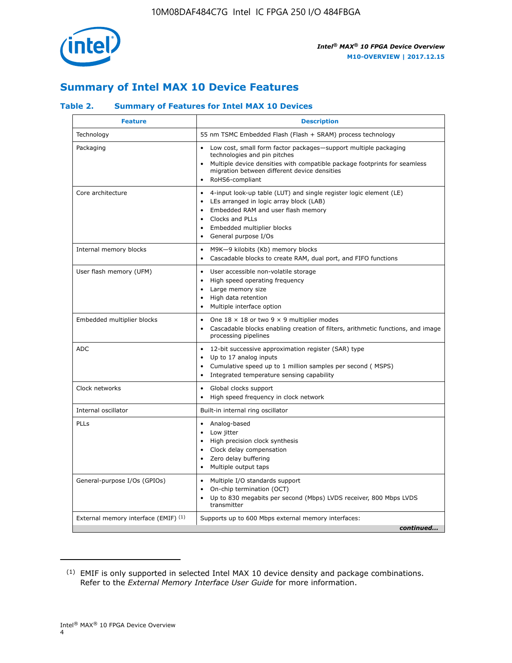

# **Summary of Intel MAX 10 Device Features**

## **Table 2. Summary of Features for Intel MAX 10 Devices**

| <b>Feature</b>                       | <b>Description</b>                                                                                                                                                                                                                                                               |
|--------------------------------------|----------------------------------------------------------------------------------------------------------------------------------------------------------------------------------------------------------------------------------------------------------------------------------|
| Technology                           | 55 nm TSMC Embedded Flash (Flash + SRAM) process technology                                                                                                                                                                                                                      |
| Packaging                            | Low cost, small form factor packages-support multiple packaging<br>technologies and pin pitches<br>Multiple device densities with compatible package footprints for seamless<br>migration between different device densities<br>RoHS6-compliant                                  |
| Core architecture                    | 4-input look-up table (LUT) and single register logic element (LE)<br>LEs arranged in logic array block (LAB)<br>$\bullet$<br>Embedded RAM and user flash memory<br>Clocks and PLLs<br>$\bullet$<br>Embedded multiplier blocks<br>$\bullet$<br>General purpose I/Os<br>$\bullet$ |
| Internal memory blocks               | M9K-9 kilobits (Kb) memory blocks<br>$\bullet$<br>Cascadable blocks to create RAM, dual port, and FIFO functions<br>$\bullet$                                                                                                                                                    |
| User flash memory (UFM)              | User accessible non-volatile storage<br>$\bullet$<br>High speed operating frequency<br>$\bullet$<br>Large memory size<br>High data retention<br>$\bullet$<br>Multiple interface option<br>$\bullet$                                                                              |
| Embedded multiplier blocks           | One $18 \times 18$ or two 9 $\times$ 9 multiplier modes<br>$\bullet$<br>Cascadable blocks enabling creation of filters, arithmetic functions, and image<br>processing pipelines                                                                                                  |
| <b>ADC</b>                           | 12-bit successive approximation register (SAR) type<br>$\bullet$<br>Up to 17 analog inputs<br>$\bullet$<br>Cumulative speed up to 1 million samples per second (MSPS)<br>Integrated temperature sensing capability                                                               |
| Clock networks                       | Global clocks support<br>$\bullet$<br>High speed frequency in clock network                                                                                                                                                                                                      |
| Internal oscillator                  | Built-in internal ring oscillator                                                                                                                                                                                                                                                |
| PLLs                                 | Analog-based<br>Low jitter<br>$\bullet$<br>High precision clock synthesis<br>Clock delay compensation<br>$\bullet$<br>Zero delay buffering<br>$\bullet$<br>Multiple output taps<br>٠                                                                                             |
| General-purpose I/Os (GPIOs)         | Multiple I/O standards support<br>$\bullet$<br>On-chip termination (OCT)<br>$\bullet$<br>Up to 830 megabits per second (Mbps) LVDS receiver, 800 Mbps LVDS<br>transmitter                                                                                                        |
| External memory interface (EMIF) (1) | Supports up to 600 Mbps external memory interfaces:<br>continued                                                                                                                                                                                                                 |

<sup>(1)</sup> EMIF is only supported in selected Intel MAX 10 device density and package combinations. Refer to the *External Memory Interface User Guide* for more information.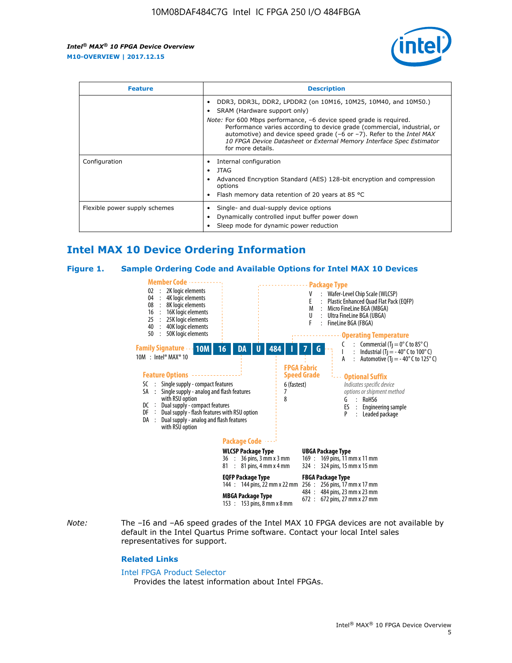

| <b>Feature</b>                | <b>Description</b>                                                                                                                                                                                                                                                                                                                                                                                                                               |  |  |  |
|-------------------------------|--------------------------------------------------------------------------------------------------------------------------------------------------------------------------------------------------------------------------------------------------------------------------------------------------------------------------------------------------------------------------------------------------------------------------------------------------|--|--|--|
|                               | DDR3, DDR3L, DDR2, LPDDR2 (on 10M16, 10M25, 10M40, and 10M50.)<br>SRAM (Hardware support only)<br><i>Note:</i> For 600 Mbps performance, -6 device speed grade is required.<br>Performance varies according to device grade (commercial, industrial, or<br>automotive) and device speed grade $(-6 \text{ or } -7)$ . Refer to the <i>Intel MAX</i><br>10 FPGA Device Datasheet or External Memory Interface Spec Estimator<br>for more details. |  |  |  |
| Configuration                 | Internal configuration<br>JTAG<br>٠<br>Advanced Encryption Standard (AES) 128-bit encryption and compression<br>options<br>Flash memory data retention of 20 years at 85 $^{\circ}$ C                                                                                                                                                                                                                                                            |  |  |  |
| Flexible power supply schemes | Single- and dual-supply device options<br>Dynamically controlled input buffer power down<br>Sleep mode for dynamic power reduction                                                                                                                                                                                                                                                                                                               |  |  |  |

# **Intel MAX 10 Device Ordering Information**

#### **Figure 1. Sample Ordering Code and Available Options for Intel MAX 10 Devices**



*Note:* The –I6 and –A6 speed grades of the Intel MAX 10 FPGA devices are not available by default in the Intel Quartus Prime software. Contact your local Intel sales representatives for support.

#### **Related Links**

#### [Intel FPGA Product Selector](http://www.altera.com/products/selector/psg-selector.html)

Provides the latest information about Intel FPGAs.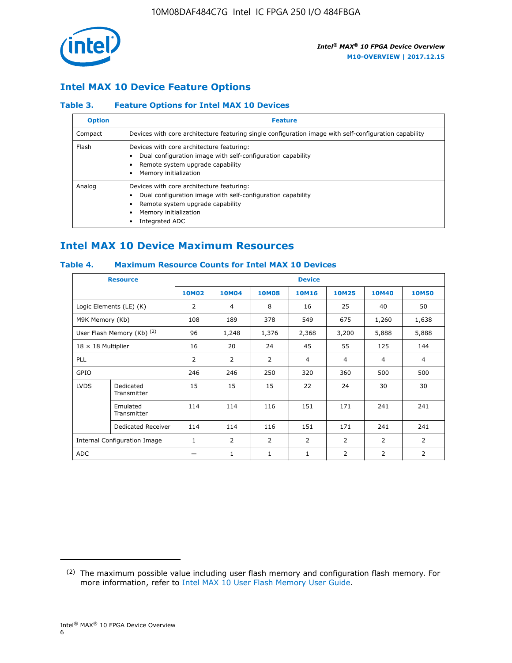

## **Intel MAX 10 Device Feature Options**

## **Table 3. Feature Options for Intel MAX 10 Devices**

| <b>Option</b> | <b>Feature</b>                                                                                                                                                                          |
|---------------|-----------------------------------------------------------------------------------------------------------------------------------------------------------------------------------------|
| Compact       | Devices with core architecture featuring single configuration image with self-configuration capability                                                                                  |
| Flash         | Devices with core architecture featuring:<br>Dual configuration image with self-configuration capability<br>Remote system upgrade capability<br>Memory initialization                   |
| Analog        | Devices with core architecture featuring:<br>Dual configuration image with self-configuration capability<br>Remote system upgrade capability<br>Memory initialization<br>Integrated ADC |

# **Intel MAX 10 Device Maximum Resources**

## **Table 4. Maximum Resource Counts for Intel MAX 10 Devices**

|                           | <b>Resource</b>                     | <b>Device</b>  |              |              |                |                |              |                |
|---------------------------|-------------------------------------|----------------|--------------|--------------|----------------|----------------|--------------|----------------|
|                           |                                     | <b>10M02</b>   | <b>10M04</b> | <b>10M08</b> | <b>10M16</b>   | <b>10M25</b>   | <b>10M40</b> | <b>10M50</b>   |
|                           | Logic Elements (LE) (K)             | $\overline{2}$ | 4            | 8            | 16             | 25             | 40           | 50             |
| M9K Memory (Kb)           |                                     | 108            | 189          | 378          | 549            | 675            | 1,260        | 1,638          |
|                           | User Flash Memory (Kb) (2)          | 96             | 1,248        | 1,376        | 2,368          | 3,200          | 5,888        | 5,888          |
| $18 \times 18$ Multiplier |                                     | 16             | 20           | 24           | 45             | 55             | 125          | 144            |
| <b>PLL</b>                |                                     | 2              | 2            | 2            | $\overline{4}$ | $\overline{4}$ | 4            | $\overline{4}$ |
| GPIO                      |                                     | 246            | 246          | 250          | 320            | 360            | 500          | 500            |
| <b>LVDS</b>               | Dedicated<br>Transmitter            | 15             | 15           | 15           | 22             | 24             | 30           | 30             |
|                           | Emulated<br>Transmitter             | 114            | 114          | 116          | 151            | 171            | 241          | 241            |
|                           | Dedicated Receiver                  | 114            | 114          | 116          | 151            | 171            | 241          | 241            |
|                           | <b>Internal Configuration Image</b> | $\mathbf{1}$   | 2            | 2            | $\overline{2}$ | 2              | 2            | $\overline{2}$ |
| <b>ADC</b>                |                                     |                | 1            | 1            | $\mathbf{1}$   | 2              | 2            | 2              |

<sup>(2)</sup> The maximum possible value including user flash memory and configuration flash memory. For more information, refer to [Intel MAX 10 User Flash Memory User Guide](https://www.altera.com/documentation/vgo1395753117436.html#vgo1395811844282).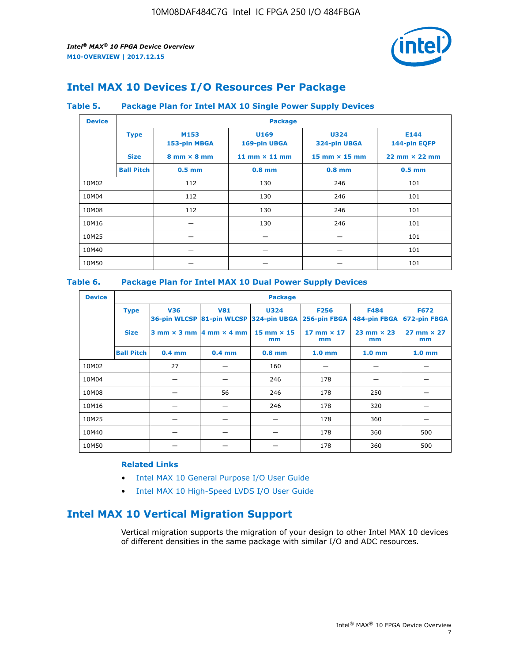

# **Intel MAX 10 Devices I/O Resources Per Package**

## **Table 5. Package Plan for Intel MAX 10 Single Power Supply Devices**

| <b>Device</b> |                   | <b>Package</b>                     |                      |                             |                                      |  |  |  |
|---------------|-------------------|------------------------------------|----------------------|-----------------------------|--------------------------------------|--|--|--|
|               | <b>Type</b>       | M153<br>153-pin MBGA               | U169<br>169-pin UBGA | <b>U324</b><br>324-pin UBGA | E144<br>144-pin EQFP                 |  |  |  |
|               | <b>Size</b>       | $8 \text{ mm} \times 8 \text{ mm}$ | 11 mm $\times$ 11 mm | 15 mm $\times$ 15 mm        | $22 \text{ mm} \times 22 \text{ mm}$ |  |  |  |
|               | <b>Ball Pitch</b> | $0.5$ mm                           | $0.8$ mm             | $0.8$ mm                    | $0.5$ mm                             |  |  |  |
| 10M02         |                   | 112                                | 130                  | 246                         | 101                                  |  |  |  |
| 10M04         |                   | 112                                | 130                  | 246                         | 101                                  |  |  |  |
| 10M08         |                   | 112                                | 246<br>130           |                             | 101                                  |  |  |  |
| 10M16         |                   | 246<br>130                         |                      |                             | 101                                  |  |  |  |
| 10M25         |                   |                                    |                      |                             | 101                                  |  |  |  |
| 10M40         |                   | –                                  |                      |                             | 101                                  |  |  |  |
| 10M50         |                   |                                    |                      |                             | 101                                  |  |  |  |

## **Table 6. Package Plan for Intel MAX 10 Dual Power Supply Devices**

| <b>Device</b> |                   | <b>Package</b> |                                                 |                                                                    |                         |                             |                             |  |  |
|---------------|-------------------|----------------|-------------------------------------------------|--------------------------------------------------------------------|-------------------------|-----------------------------|-----------------------------|--|--|
|               | <b>Type</b>       | <b>V36</b>     | <b>V81</b>                                      | <b>U324</b><br>36-pin WLCSP 81-pin WLCSP 324-pin UBGA 256-pin FBGA | <b>F256</b>             | <b>F484</b><br>484-pin FBGA | <b>F672</b><br>672-pin FBGA |  |  |
|               | <b>Size</b>       |                | $3$ mm $\times$ 3 mm $\vert$ 4 mm $\times$ 4 mm | $15$ mm $\times$ 15<br>mm                                          | 17 mm $\times$ 17<br>mm | $23$ mm $\times$ 23<br>mm   | $27$ mm $\times$ 27<br>mm   |  |  |
|               | <b>Ball Pitch</b> | $0.4$ mm       | $0.4$ mm                                        | $0.8$ mm                                                           | 1.0 <sub>mm</sub>       | 1.0 <sub>mm</sub>           | 1.0 <sub>mm</sub>           |  |  |
| 10M02         |                   | 27             |                                                 | 160                                                                |                         |                             |                             |  |  |
| 10M04         |                   |                |                                                 | 246                                                                | 178                     |                             |                             |  |  |
| 10M08         |                   |                | 56                                              | 246                                                                | 178                     | 250                         |                             |  |  |
| 10M16         |                   |                |                                                 | 246                                                                | 178                     | 320                         |                             |  |  |
| 10M25         |                   |                |                                                 |                                                                    | 178                     | 360                         |                             |  |  |
| 10M40         |                   |                |                                                 |                                                                    | 178                     | 360                         | 500                         |  |  |
| 10M50         |                   |                |                                                 |                                                                    | 178                     | 360                         | 500                         |  |  |

## **Related Links**

- [Intel MAX 10 General Purpose I/O User Guide](https://www.altera.com/documentation/sam1393999966669.html#sam1394000084476)
- [Intel MAX 10 High-Speed LVDS I/O User Guide](https://www.altera.com/documentation/sam1394433606063.html#sam1394433911642)

# **Intel MAX 10 Vertical Migration Support**

Vertical migration supports the migration of your design to other Intel MAX 10 devices of different densities in the same package with similar I/O and ADC resources.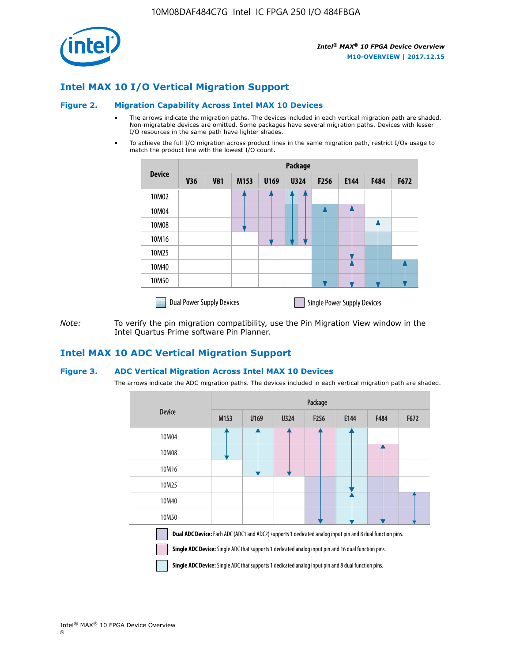

## **Intel MAX 10 I/O Vertical Migration Support**

#### **Figure 2. Migration Capability Across Intel MAX 10 Devices**

- The arrows indicate the migration paths. The devices included in each vertical migration path are shaded. Non-migratable devices are omitted. Some packages have several migration paths. Devices with lesser I/O resources in the same path have lighter shades.
- To achieve the full I/O migration across product lines in the same migration path, restrict I/Os usage to match the product line with the lowest I/O count.

|               | <b>Package</b>                   |            |      |      |             |                  |                                    |      |      |
|---------------|----------------------------------|------------|------|------|-------------|------------------|------------------------------------|------|------|
| <b>Device</b> | <b>V36</b>                       | <b>V81</b> | M153 | U169 | <b>U324</b> | F <sub>256</sub> | E144                               | F484 | F672 |
| 10M02         |                                  |            |      |      | 7           |                  |                                    |      |      |
| 10M04         |                                  |            |      |      |             |                  |                                    |      |      |
| 10M08         |                                  |            |      |      |             |                  |                                    |      |      |
| 10M16         |                                  |            |      |      |             |                  |                                    |      |      |
| 10M25         |                                  |            |      |      |             |                  |                                    |      |      |
| 10M40         |                                  |            |      |      |             |                  |                                    |      |      |
| 10M50         |                                  |            |      |      |             |                  |                                    |      |      |
|               | <b>Dual Power Supply Devices</b> |            |      |      |             |                  | <b>Single Power Supply Devices</b> |      |      |

*Note:* To verify the pin migration compatibility, use the Pin Migration View window in the Intel Quartus Prime software Pin Planner.

## **Intel MAX 10 ADC Vertical Migration Support**

#### **Figure 3. ADC Vertical Migration Across Intel MAX 10 Devices**

The arrows indicate the ADC migration paths. The devices included in each vertical migration path are shaded.

|                                                                                                                                                                                                                         | Package          |      |      |                  |      |             |      |  |
|-------------------------------------------------------------------------------------------------------------------------------------------------------------------------------------------------------------------------|------------------|------|------|------------------|------|-------------|------|--|
| <b>Device</b>                                                                                                                                                                                                           | M <sub>153</sub> | U169 | U324 | F <sub>256</sub> | E144 | <b>F484</b> | F672 |  |
| 10M04                                                                                                                                                                                                                   |                  |      |      |                  |      |             |      |  |
| 10M08                                                                                                                                                                                                                   |                  |      |      |                  |      |             |      |  |
| 10M16                                                                                                                                                                                                                   |                  |      |      |                  |      |             |      |  |
| 10M25                                                                                                                                                                                                                   |                  |      |      |                  |      |             |      |  |
| 10M40                                                                                                                                                                                                                   |                  |      |      |                  |      |             |      |  |
| 10M50                                                                                                                                                                                                                   |                  |      |      |                  |      |             |      |  |
| <b>Dual ADC Device:</b> Each ADC (ADC1 and ADC2) supports 1 dedicated analog input pin and 8 dual function pins.<br>Single ADC Device: Single ADC that supports 1 dedicated analog input pin and 16 dual function pins. |                  |      |      |                  |      |             |      |  |

**Single ADC Device:** Single ADC that supports 1 dedicated analog input pin and 8 dual function pins.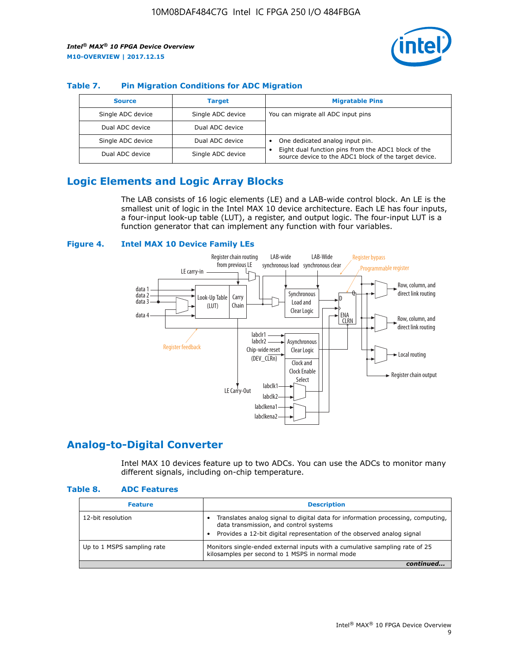

## **Table 7. Pin Migration Conditions for ADC Migration**

| <b>Source</b>     | <b>Target</b>     | <b>Migratable Pins</b>                                                                                            |
|-------------------|-------------------|-------------------------------------------------------------------------------------------------------------------|
| Single ADC device | Single ADC device | You can migrate all ADC input pins                                                                                |
| Dual ADC device   | Dual ADC device   |                                                                                                                   |
| Single ADC device | Dual ADC device   | One dedicated analog input pin.                                                                                   |
| Dual ADC device   | Single ADC device | Eight dual function pins from the ADC1 block of the<br>٠<br>source device to the ADC1 block of the target device. |

# **Logic Elements and Logic Array Blocks**

The LAB consists of 16 logic elements (LE) and a LAB-wide control block. An LE is the smallest unit of logic in the Intel MAX 10 device architecture. Each LE has four inputs, a four-input look-up table (LUT), a register, and output logic. The four-input LUT is a function generator that can implement any function with four variables.

#### **Figure 4. Intel MAX 10 Device Family LEs**



## **Analog-to-Digital Converter**

Intel MAX 10 devices feature up to two ADCs. You can use the ADCs to monitor many different signals, including on-chip temperature.

#### **Table 8. ADC Features**

| <b>Feature</b>             | <b>Description</b>                                                                                                                                                                                  |
|----------------------------|-----------------------------------------------------------------------------------------------------------------------------------------------------------------------------------------------------|
| 12-bit resolution          | Translates analog signal to digital data for information processing, computing,<br>data transmission, and control systems<br>Provides a 12-bit digital representation of the observed analog signal |
| Up to 1 MSPS sampling rate | Monitors single-ended external inputs with a cumulative sampling rate of 25<br>kilosamples per second to 1 MSPS in normal mode                                                                      |
|                            |                                                                                                                                                                                                     |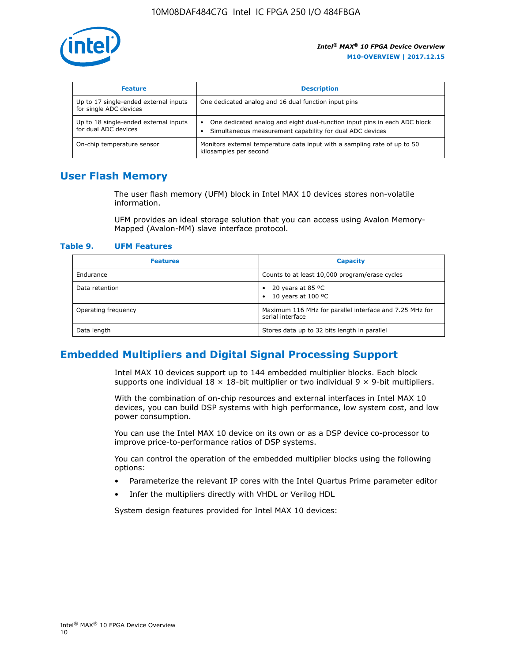

| <b>Feature</b>                                                  | <b>Description</b>                                                                                                                         |
|-----------------------------------------------------------------|--------------------------------------------------------------------------------------------------------------------------------------------|
| Up to 17 single-ended external inputs<br>for single ADC devices | One dedicated analog and 16 dual function input pins                                                                                       |
| Up to 18 single-ended external inputs<br>for dual ADC devices   | One dedicated analog and eight dual-function input pins in each ADC block<br>٠<br>Simultaneous measurement capability for dual ADC devices |
| On-chip temperature sensor                                      | Monitors external temperature data input with a sampling rate of up to 50<br>kilosamples per second                                        |

## **User Flash Memory**

The user flash memory (UFM) block in Intel MAX 10 devices stores non-volatile information.

UFM provides an ideal storage solution that you can access using Avalon Memory-Mapped (Avalon-MM) slave interface protocol.

#### **Table 9. UFM Features**

| <b>Features</b>     | <b>Capacity</b>                                                             |
|---------------------|-----------------------------------------------------------------------------|
| Endurance           | Counts to at least 10,000 program/erase cycles                              |
| Data retention      | 20 years at 85 °C<br>٠<br>10 years at 100 °C<br>$\bullet$                   |
| Operating frequency | Maximum 116 MHz for parallel interface and 7.25 MHz for<br>serial interface |
| Data length         | Stores data up to 32 bits length in parallel                                |

## **Embedded Multipliers and Digital Signal Processing Support**

Intel MAX 10 devices support up to 144 embedded multiplier blocks. Each block supports one individual  $18 \times 18$ -bit multiplier or two individual  $9 \times 9$ -bit multipliers.

With the combination of on-chip resources and external interfaces in Intel MAX 10 devices, you can build DSP systems with high performance, low system cost, and low power consumption.

You can use the Intel MAX 10 device on its own or as a DSP device co-processor to improve price-to-performance ratios of DSP systems.

You can control the operation of the embedded multiplier blocks using the following options:

- Parameterize the relevant IP cores with the Intel Quartus Prime parameter editor
- Infer the multipliers directly with VHDL or Verilog HDL

System design features provided for Intel MAX 10 devices: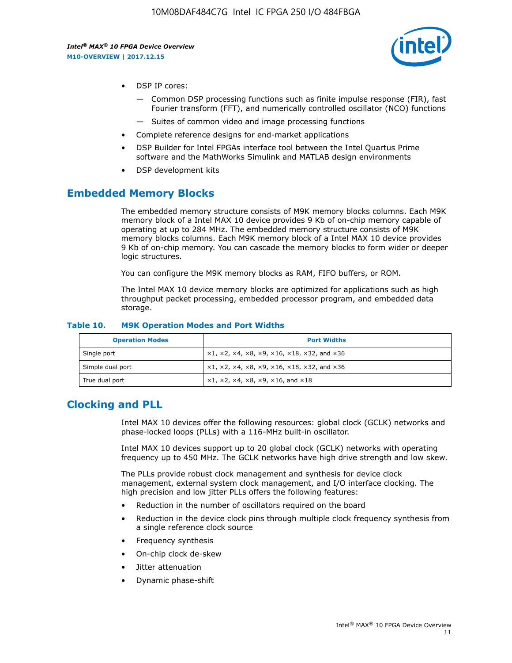

- DSP IP cores:
	- Common DSP processing functions such as finite impulse response (FIR), fast Fourier transform (FFT), and numerically controlled oscillator (NCO) functions
	- Suites of common video and image processing functions
- Complete reference designs for end-market applications
- DSP Builder for Intel FPGAs interface tool between the Intel Quartus Prime software and the MathWorks Simulink and MATLAB design environments
- DSP development kits

## **Embedded Memory Blocks**

The embedded memory structure consists of M9K memory blocks columns. Each M9K memory block of a Intel MAX 10 device provides 9 Kb of on-chip memory capable of operating at up to 284 MHz. The embedded memory structure consists of M9K memory blocks columns. Each M9K memory block of a Intel MAX 10 device provides 9 Kb of on-chip memory. You can cascade the memory blocks to form wider or deeper logic structures.

You can configure the M9K memory blocks as RAM, FIFO buffers, or ROM.

The Intel MAX 10 device memory blocks are optimized for applications such as high throughput packet processing, embedded processor program, and embedded data storage.

| <b>Operation Modes</b> | <b>Port Widths</b>                                                                       |
|------------------------|------------------------------------------------------------------------------------------|
| Single port            | $x1, x2, x4, x8, x9, x16, x18, x32, and x36$                                             |
| Simple dual port       | $x1, x2, x4, x8, x9, x16, x18, x32, and x36$                                             |
| True dual port         | $\times$ 1, $\times$ 2, $\times$ 4, $\times$ 8, $\times$ 9, $\times$ 16, and $\times$ 18 |

#### **Table 10. M9K Operation Modes and Port Widths**

## **Clocking and PLL**

Intel MAX 10 devices offer the following resources: global clock (GCLK) networks and phase-locked loops (PLLs) with a 116-MHz built-in oscillator.

Intel MAX 10 devices support up to 20 global clock (GCLK) networks with operating frequency up to 450 MHz. The GCLK networks have high drive strength and low skew.

The PLLs provide robust clock management and synthesis for device clock management, external system clock management, and I/O interface clocking. The high precision and low jitter PLLs offers the following features:

- Reduction in the number of oscillators required on the board
- Reduction in the device clock pins through multiple clock frequency synthesis from a single reference clock source
- Frequency synthesis
- On-chip clock de-skew
- Jitter attenuation
- Dynamic phase-shift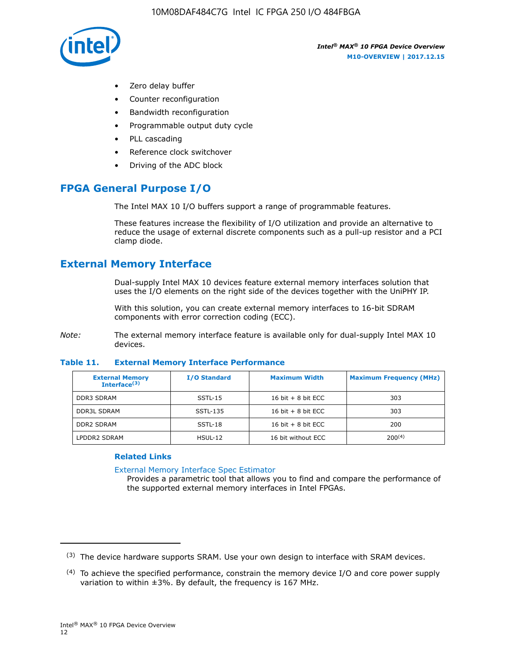

- Zero delay buffer
- Counter reconfiguration
- Bandwidth reconfiguration
- Programmable output duty cycle
- PLL cascading
- Reference clock switchover
- Driving of the ADC block

# **FPGA General Purpose I/O**

The Intel MAX 10 I/O buffers support a range of programmable features.

These features increase the flexibility of I/O utilization and provide an alternative to reduce the usage of external discrete components such as a pull-up resistor and a PCI clamp diode.

# **External Memory Interface**

Dual-supply Intel MAX 10 devices feature external memory interfaces solution that uses the I/O elements on the right side of the devices together with the UniPHY IP.

With this solution, you can create external memory interfaces to 16-bit SDRAM components with error correction coding (ECC).

*Note:* The external memory interface feature is available only for dual-supply Intel MAX 10 devices.

#### **Table 11. External Memory Interface Performance**

| <b>External Memory</b><br>Interface <sup>(3)</sup> | <b>I/O Standard</b> | <b>Maximum Width</b> | <b>Maximum Frequency (MHz)</b> |
|----------------------------------------------------|---------------------|----------------------|--------------------------------|
| <b>DDR3 SDRAM</b>                                  | SSTL-15             | 16 bit $+8$ bit ECC  | 303                            |
| <b>DDR3L SDRAM</b>                                 | SSTL-135            | 16 bit $+8$ bit ECC  | 303                            |
| <b>DDR2 SDRAM</b>                                  | SSTL-18             | 16 bit $+8$ bit ECC  | 200                            |
| LPDDR2 SDRAM                                       | $H SUL-12$          | 16 bit without ECC   | $200^{(4)}$                    |

## **Related Links**

[External Memory Interface Spec Estimator](http://www.altera.com/technology/memory/estimator/mem-emif-index.html)

Provides a parametric tool that allows you to find and compare the performance of the supported external memory interfaces in Intel FPGAs.

 $(3)$  The device hardware supports SRAM. Use your own design to interface with SRAM devices.

 $(4)$  To achieve the specified performance, constrain the memory device I/O and core power supply variation to within ±3%. By default, the frequency is 167 MHz.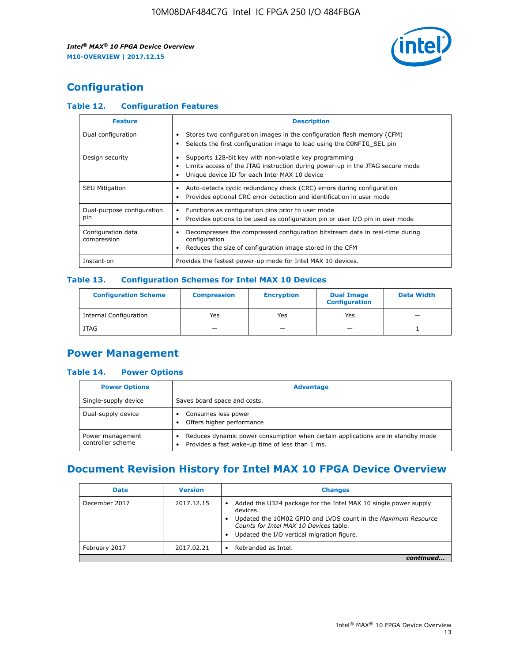

# **Configuration**

## **Table 12. Configuration Features**

| <b>Feature</b>                    | <b>Description</b>                                                                                                                                                                       |
|-----------------------------------|------------------------------------------------------------------------------------------------------------------------------------------------------------------------------------------|
| Dual configuration                | Stores two configuration images in the configuration flash memory (CFM)<br>Selects the first configuration image to load using the CONFIG SEL pin                                        |
| Design security                   | Supports 128-bit key with non-volatile key programming<br>Limits access of the JTAG instruction during power-up in the JTAG secure mode<br>Unique device ID for each Intel MAX 10 device |
| <b>SEU Mitigation</b>             | Auto-detects cyclic redundancy check (CRC) errors during configuration<br>Provides optional CRC error detection and identification in user mode                                          |
| Dual-purpose configuration<br>pin | Functions as configuration pins prior to user mode<br>Provides options to be used as configuration pin or user I/O pin in user mode                                                      |
| Configuration data<br>compression | Decompresses the compressed configuration bitstream data in real-time during<br>configuration<br>Reduces the size of configuration image stored in the CFM                               |
| Instant-on                        | Provides the fastest power-up mode for Intel MAX 10 devices.                                                                                                                             |

## **Table 13. Configuration Schemes for Intel MAX 10 Devices**

| <b>Configuration Scheme</b>   | <b>Compression</b>       | <b>Encryption</b> | <b>Dual Image</b><br><b>Configuration</b> | <b>Data Width</b> |
|-------------------------------|--------------------------|-------------------|-------------------------------------------|-------------------|
| <b>Internal Configuration</b> | Yes                      | Yes               | Yes                                       |                   |
| <b>JTAG</b>                   | $\overline{\phantom{a}}$ |                   | -                                         |                   |

## **Power Management**

## **Table 14. Power Options**

| <b>Power Options</b>                  | <b>Advantage</b>                                                                                                                        |  |
|---------------------------------------|-----------------------------------------------------------------------------------------------------------------------------------------|--|
| Single-supply device                  | Saves board space and costs.                                                                                                            |  |
| Dual-supply device                    | Consumes less power<br>Offers higher performance<br>$\bullet$                                                                           |  |
| Power management<br>controller scheme | Reduces dynamic power consumption when certain applications are in standby mode<br>Provides a fast wake-up time of less than 1 ms.<br>٠ |  |

# **Document Revision History for Intel MAX 10 FPGA Device Overview**

| <b>Date</b>   | <b>Version</b> | <b>Changes</b>                                                                                                                                                                                                                       |
|---------------|----------------|--------------------------------------------------------------------------------------------------------------------------------------------------------------------------------------------------------------------------------------|
| December 2017 | 2017.12.15     | Added the U324 package for the Intel MAX 10 single power supply<br>devices.<br>Updated the 10M02 GPIO and LVDS count in the Maximum Resource<br>Counts for Intel MAX 10 Devices table.<br>Updated the I/O vertical migration figure. |
| February 2017 | 2017.02.21     | Rebranded as Intel.                                                                                                                                                                                                                  |
|               |                |                                                                                                                                                                                                                                      |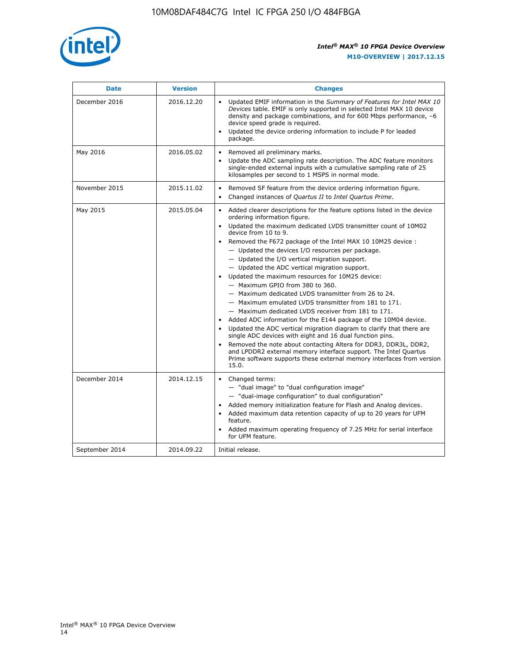

| <b>Date</b>    | <b>Version</b> | <b>Changes</b>                                                                                                                                                                                                                                                                                                                                                                                                                                                                                                                                                                                                                                                                                                                                                                                                                                                                                                                                                                                                                                                                                                                                                          |
|----------------|----------------|-------------------------------------------------------------------------------------------------------------------------------------------------------------------------------------------------------------------------------------------------------------------------------------------------------------------------------------------------------------------------------------------------------------------------------------------------------------------------------------------------------------------------------------------------------------------------------------------------------------------------------------------------------------------------------------------------------------------------------------------------------------------------------------------------------------------------------------------------------------------------------------------------------------------------------------------------------------------------------------------------------------------------------------------------------------------------------------------------------------------------------------------------------------------------|
| December 2016  | 2016.12.20     | • Updated EMIF information in the Summary of Features for Intel MAX 10<br>Devices table. EMIF is only supported in selected Intel MAX 10 device<br>density and package combinations, and for 600 Mbps performance, -6<br>device speed grade is required.<br>Updated the device ordering information to include P for leaded<br>$\bullet$<br>package.                                                                                                                                                                                                                                                                                                                                                                                                                                                                                                                                                                                                                                                                                                                                                                                                                    |
| May 2016       | 2016.05.02     | Removed all preliminary marks.<br>Update the ADC sampling rate description. The ADC feature monitors<br>$\bullet$<br>single-ended external inputs with a cumulative sampling rate of 25<br>kilosamples per second to 1 MSPS in normal mode.                                                                                                                                                                                                                                                                                                                                                                                                                                                                                                                                                                                                                                                                                                                                                                                                                                                                                                                             |
| November 2015  | 2015.11.02     | Removed SF feature from the device ordering information figure.<br>$\bullet$<br>Changed instances of Quartus II to Intel Quartus Prime.<br>$\bullet$                                                                                                                                                                                                                                                                                                                                                                                                                                                                                                                                                                                                                                                                                                                                                                                                                                                                                                                                                                                                                    |
| May 2015       | 2015.05.04     | Added clearer descriptions for the feature options listed in the device<br>$\bullet$<br>ordering information figure.<br>Updated the maximum dedicated LVDS transmitter count of 10M02<br>$\bullet$<br>device from 10 to 9.<br>• Removed the F672 package of the Intel MAX 10 10M25 device :<br>- Updated the devices I/O resources per package.<br>$-$ Updated the I/O vertical migration support.<br>- Updated the ADC vertical migration support.<br>Updated the maximum resources for 10M25 device:<br>$\bullet$<br>- Maximum GPIO from 380 to 360.<br>- Maximum dedicated LVDS transmitter from 26 to 24.<br>- Maximum emulated LVDS transmitter from 181 to 171.<br>- Maximum dedicated LVDS receiver from 181 to 171.<br>Added ADC information for the E144 package of the 10M04 device.<br>$\bullet$<br>Updated the ADC vertical migration diagram to clarify that there are<br>single ADC devices with eight and 16 dual function pins.<br>Removed the note about contacting Altera for DDR3, DDR3L, DDR2,<br>and LPDDR2 external memory interface support. The Intel Quartus<br>Prime software supports these external memory interfaces from version<br>15.0. |
| December 2014  | 2014.12.15     | Changed terms:<br>$\bullet$<br>- "dual image" to "dual configuration image"<br>- "dual-image configuration" to dual configuration"<br>Added memory initialization feature for Flash and Analog devices.<br>$\bullet$<br>Added maximum data retention capacity of up to 20 years for UFM<br>$\bullet$<br>feature.<br>Added maximum operating frequency of 7.25 MHz for serial interface<br>$\bullet$<br>for UFM feature.                                                                                                                                                                                                                                                                                                                                                                                                                                                                                                                                                                                                                                                                                                                                                 |
| September 2014 | 2014.09.22     | Initial release.                                                                                                                                                                                                                                                                                                                                                                                                                                                                                                                                                                                                                                                                                                                                                                                                                                                                                                                                                                                                                                                                                                                                                        |